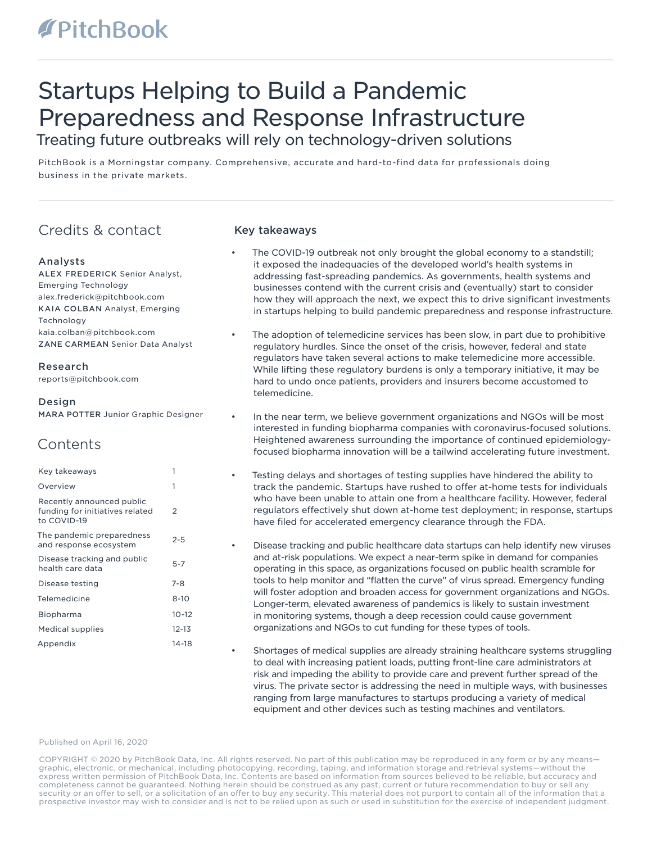# Startups Helping to Build a Pandemic Preparedness and Response Infrastructure Treating future outbreaks will rely on technology-driven solutions

PitchBook is a Morningstar company. Comprehensive, accurate and hard-to-find data for professionals doing business in the private markets.

# Credits & contact

### Analysts

ALEX FREDERICK Senior Analyst, Emerging Technology alex.frederick@pitchbook.com KAIA COLBAN Analyst, Emerging Technology kaia.colban@pitchbook.com ZANE CARMEAN Senior Data Analyst

Research reports@pitchbook.com

#### Design

MARA POTTER Junior Graphic Designer

## **Contents**

| Key takeaways                                                               |           |
|-----------------------------------------------------------------------------|-----------|
| Overview                                                                    | 1         |
| Recently announced public<br>funding for initiatives related<br>to COVID-19 | 2         |
| The pandemic preparedness<br>and response ecosystem                         | $2 - 5$   |
| Disease tracking and public<br>health care data                             | $5 - 7$   |
| Disease testing                                                             | $7 - 8$   |
| Telemedicine                                                                | $8 - 10$  |
| Biopharma                                                                   | $10 - 12$ |
| Medical supplies                                                            | $12 - 13$ |
| Appendix                                                                    | 14-18     |

### Key takeaways

- The COVID-19 outbreak not only brought the global economy to a standstill; it exposed the inadequacies of the developed world's health systems in addressing fast-spreading pandemics. As governments, health systems and businesses contend with the current crisis and (eventually) start to consider how they will approach the next, we expect this to drive significant investments in startups helping to build pandemic preparedness and response infrastructure.
- The adoption of telemedicine services has been slow, in part due to prohibitive regulatory hurdles. Since the onset of the crisis, however, federal and state regulators have taken several actions to make telemedicine more accessible. While lifting these regulatory burdens is only a temporary initiative, it may be hard to undo once patients, providers and insurers become accustomed to telemedicine.
- In the near term, we believe government organizations and NGOs will be most interested in funding biopharma companies with coronavirus-focused solutions. Heightened awareness surrounding the importance of continued epidemiologyfocused biopharma innovation will be a tailwind accelerating future investment.
- Testing delays and shortages of testing supplies have hindered the ability to track the pandemic. Startups have rushed to offer at-home tests for individuals who have been unable to attain one from a healthcare facility. However, federal regulators effectively shut down at-home test deployment; in response, startups have filed for accelerated emergency clearance through the FDA.
- Disease tracking and public healthcare data startups can help identify new viruses and at-risk populations. We expect a near-term spike in demand for companies operating in this space, as organizations focused on public health scramble for tools to help monitor and "flatten the curve" of virus spread. Emergency funding will foster adoption and broaden access for government organizations and NGOs. Longer-term, elevated awareness of pandemics is likely to sustain investment in monitoring systems, though a deep recession could cause government organizations and NGOs to cut funding for these types of tools.
- Shortages of medical supplies are already straining healthcare systems struggling to deal with increasing patient loads, putting front-line care administrators at risk and impeding the ability to provide care and prevent further spread of the virus. The private sector is addressing the need in multiple ways, with businesses ranging from large manufactures to startups producing a variety of medical equipment and other devices such as testing machines and ventilators.

#### Published on April 16, 2020

COPYRIGHT © 2020 by PitchBook Data, Inc. All rights reserved. No part of this publication may be reproduced in any form or by any means graphic, electronic, or mechanical, including photocopying, recording, taping, and information storage and retrieval systems—without the express written permission of PitchBook Data, Inc. Contents are based on information from sources believed to be reliable, but accuracy and completeness cannot be guaranteed. Nothing herein should be construed as any past, current or future recommendation to buy or sell any security or an offer to sell, or a solicitation of an offer to buy any security. This material does not purport to contain all of the information that a prospective investor may wish to consider and is not to be relied upon as such or used in substitution for the exercise of independent judgment.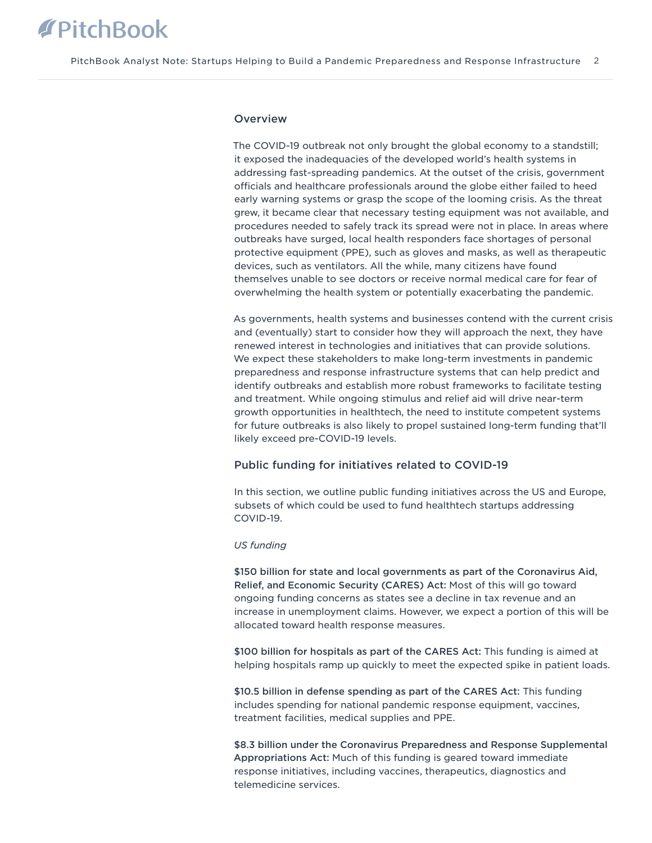#### **Overview**

The COVID-19 outbreak not only brought the global economy to a standstill; it exposed the inadequacies of the developed world's health systems in addressing fast-spreading pandemics. At the outset of the crisis, government officials and healthcare professionals around the globe either failed to heed early warning systems or grasp the scope of the looming crisis. As the threat grew, it became clear that necessary testing equipment was not available, and procedures needed to safely track its spread were not in place. In areas where outbreaks have surged, local health responders face shortages of personal protective equipment (PPE), such as gloves and masks, as well as therapeutic devices, such as ventilators. All the while, many citizens have found themselves unable to see doctors or receive normal medical care for fear of overwhelming the health system or potentially exacerbating the pandemic.

As governments, health systems and businesses contend with the current crisis and (eventually) start to consider how they will approach the next, they have renewed interest in technologies and initiatives that can provide solutions. We expect these stakeholders to make long-term investments in pandemic preparedness and response infrastructure systems that can help predict and identify outbreaks and establish more robust frameworks to facilitate testing and treatment. While ongoing stimulus and relief aid will drive near-term growth opportunities in healthtech, the need to institute competent systems for future outbreaks is also likely to propel sustained long-term funding that'll likely exceed pre-COVID-19 levels.

### Public funding for initiatives related to COVID-19

In this section, we outline public funding initiatives across the US and Europe, subsets of which could be used to fund healthtech startups addressing COVID-19.

#### *US funding*

\$150 billion for state and local governments as part of the Coronavirus Aid, Relief, and Economic Security (CARES) Act: Most of this will go toward ongoing funding concerns as states see a decline in tax revenue and an increase in unemployment claims. However, we expect a portion of this will be allocated toward health response measures.

\$100 billion for hospitals as part of the CARES Act: This funding is aimed at helping hospitals ramp up quickly to meet the expected spike in patient loads.

\$10.5 billion in defense spending as part of the CARES Act: This funding includes spending for national pandemic response equipment, vaccines, treatment facilities, medical supplies and PPE.

\$8.3 billion under the Coronavirus Preparedness and Response Supplemental Appropriations Act: Much of this funding is geared toward immediate response initiatives, including vaccines, therapeutics, diagnostics and telemedicine services.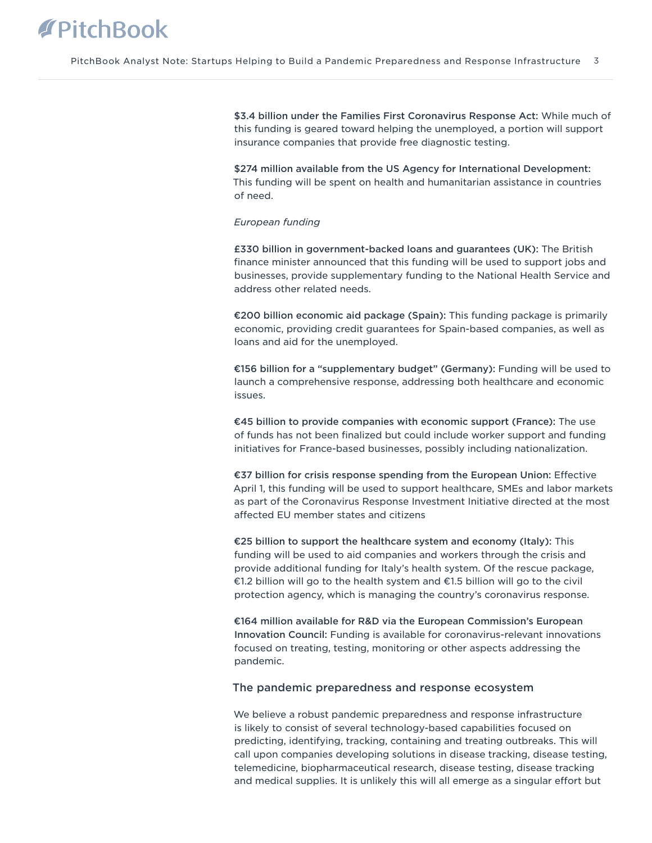\$3.4 billion under the Families First Coronavirus Response Act: While much of this funding is geared toward helping the unemployed, a portion will support insurance companies that provide free diagnostic testing.

\$274 million available from the US Agency for International Development: This funding will be spent on health and humanitarian assistance in countries of need.

#### *European funding*

£330 billion in government-backed loans and guarantees (UK): The British finance minister announced that this funding will be used to support jobs and businesses, provide supplementary funding to the National Health Service and address other related needs.

€200 billion economic aid package (Spain): This funding package is primarily economic, providing credit guarantees for Spain-based companies, as well as loans and aid for the unemployed.

€156 billion for a "supplementary budget" (Germany): Funding will be used to launch a comprehensive response, addressing both healthcare and economic issues.

€45 billion to provide companies with economic support (France): The use of funds has not been finalized but could include worker support and funding initiatives for France-based businesses, possibly including nationalization.

€37 billion for crisis response spending from the European Union: Effective April 1, this funding will be used to support healthcare, SMEs and labor markets as part of the Coronavirus Response Investment Initiative directed at the most affected EU member states and citizens

€25 billion to support the healthcare system and economy (Italy): This funding will be used to aid companies and workers through the crisis and provide additional funding for Italy's health system. Of the rescue package, €1.2 billion will go to the health system and €1.5 billion will go to the civil protection agency, which is managing the country's coronavirus response.

€164 million available for R&D via the European Commission's European Innovation Council: Funding is available for coronavirus-relevant innovations focused on treating, testing, monitoring or other aspects addressing the pandemic.

#### The pandemic preparedness and response ecosystem

We believe a robust pandemic preparedness and response infrastructure is likely to consist of several technology-based capabilities focused on predicting, identifying, tracking, containing and treating outbreaks. This will call upon companies developing solutions in disease tracking, disease testing, telemedicine, biopharmaceutical research, disease testing, disease tracking and medical supplies. It is unlikely this will all emerge as a singular effort but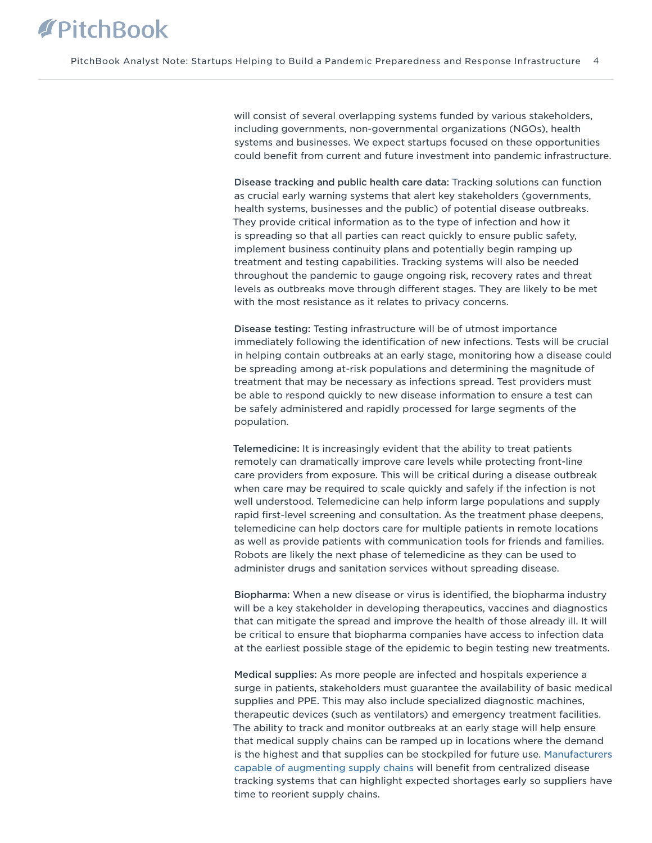will consist of several overlapping systems funded by various stakeholders, including governments, non-governmental organizations (NGOs), health systems and businesses. We expect startups focused on these opportunities could benefit from current and future investment into pandemic infrastructure.

Disease tracking and public health care data: Tracking solutions can function as crucial early warning systems that alert key stakeholders (governments, health systems, businesses and the public) of potential disease outbreaks. They provide critical information as to the type of infection and how it is spreading so that all parties can react quickly to ensure public safety, implement business continuity plans and potentially begin ramping up treatment and testing capabilities. Tracking systems will also be needed throughout the pandemic to gauge ongoing risk, recovery rates and threat levels as outbreaks move through different stages. They are likely to be met with the most resistance as it relates to privacy concerns.

Disease testing: Testing infrastructure will be of utmost importance immediately following the identification of new infections. Tests will be crucial in helping contain outbreaks at an early stage, monitoring how a disease could be spreading among at-risk populations and determining the magnitude of treatment that may be necessary as infections spread. Test providers must be able to respond quickly to new disease information to ensure a test can be safely administered and rapidly processed for large segments of the population.

Telemedicine: It is increasingly evident that the ability to treat patients remotely can dramatically improve care levels while protecting front-line care providers from exposure. This will be critical during a disease outbreak when care may be required to scale quickly and safely if the infection is not well understood. Telemedicine can help inform large populations and supply rapid first-level screening and consultation. As the treatment phase deepens, telemedicine can help doctors care for multiple patients in remote locations as well as provide patients with communication tools for friends and families. Robots are likely the next phase of telemedicine as they can be used to administer drugs and sanitation services without spreading disease.

Biopharma: When a new disease or virus is identified, the biopharma industry will be a key stakeholder in developing therapeutics, vaccines and diagnostics that can mitigate the spread and improve the health of those already ill. It will be critical to ensure that biopharma companies have access to infection data at the earliest possible stage of the epidemic to begin testing new treatments.

Medical supplies: As more people are infected and hospitals experience a surge in patients, stakeholders must guarantee the availability of basic medical supplies and PPE. This may also include specialized diagnostic machines, therapeutic devices (such as ventilators) and emergency treatment facilities. The ability to track and monitor outbreaks at an early stage will help ensure that medical supply chains can be ramped up in locations where the demand is the highest and that supplies can be stockpiled for future use. [Manufacturers](https://files.pitchbook.com/website/files/pdf/PitchBook_Q2_2020_Analyst_Note_Pandemic-Induced_Supply_Chain_Disruption_Urges_New_Tech_Solutions.pdf) [capable of augmenting supply chains](https://files.pitchbook.com/website/files/pdf/PitchBook_Q2_2020_Analyst_Note_Pandemic-Induced_Supply_Chain_Disruption_Urges_New_Tech_Solutions.pdf) will benefit from centralized disease tracking systems that can highlight expected shortages early so suppliers have time to reorient supply chains.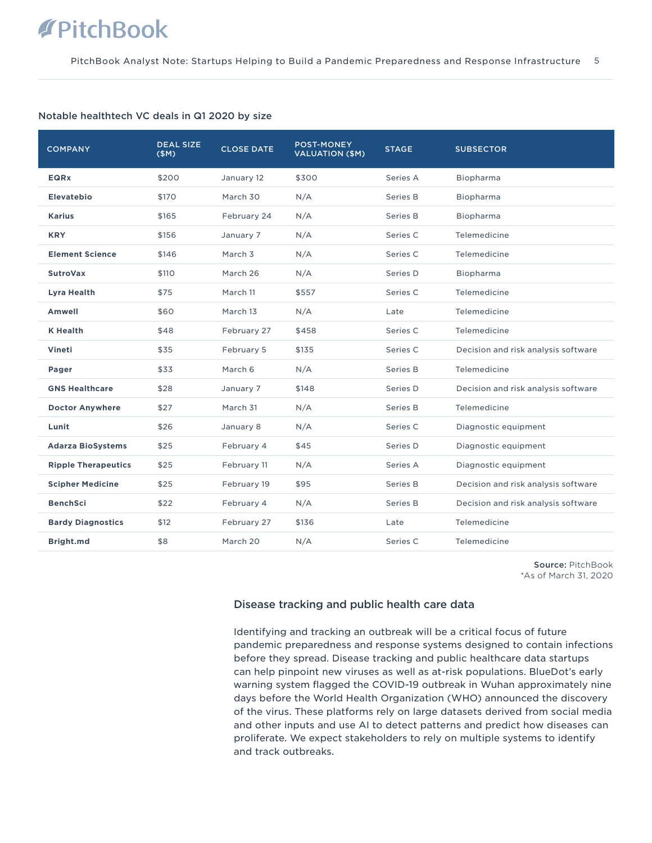#### Notable healthtech VC deals in Q1 2020 by size

| <b>COMPANY</b>             | <b>DEAL SIZE</b><br>(SM) | <b>CLOSE DATE</b>  | <b>POST-MONEY</b><br><b>VALUATION (\$M)</b> | <b>STAGE</b> | <b>SUBSECTOR</b>                    |
|----------------------------|--------------------------|--------------------|---------------------------------------------|--------------|-------------------------------------|
| <b>EQRX</b>                | \$200                    | January 12         | \$300                                       | Series A     | Biopharma                           |
| <b>Elevatebio</b>          | \$170                    | March 30           | N/A                                         | Series B     | Biopharma                           |
| <b>Karius</b>              | \$165                    | February 24        | N/A                                         | Series B     | Biopharma                           |
| <b>KRY</b>                 | \$156                    | January 7          | N/A                                         | Series C     | Telemedicine                        |
| <b>Element Science</b>     | \$146                    | March <sub>3</sub> | N/A                                         | Series C     | Telemedicine                        |
| <b>SutroVax</b>            | \$110                    | March 26           | N/A                                         | Series D     | Biopharma                           |
| Lyra Health                | \$75                     | March 11           | \$557                                       | Series C     | Telemedicine                        |
| Amwell                     | \$60                     | March 13           | N/A                                         | Late         | Telemedicine                        |
| <b>K</b> Health            | \$48                     | February 27        | \$458                                       | Series C     | Telemedicine                        |
| Vineti                     | \$35                     | February 5         | \$135                                       | Series C     | Decision and risk analysis software |
| Pager                      | \$33                     | March 6            | N/A                                         | Series B     | Telemedicine                        |
| <b>GNS Healthcare</b>      | \$28                     | January 7          | \$148                                       | Series D     | Decision and risk analysis software |
| <b>Doctor Anywhere</b>     | \$27                     | March 31           | N/A                                         | Series B     | Telemedicine                        |
| Lunit                      | \$26                     | January 8          | N/A                                         | Series C     | Diagnostic equipment                |
| <b>Adarza BioSystems</b>   | \$25                     | February 4         | \$45                                        | Series D     | Diagnostic equipment                |
| <b>Ripple Therapeutics</b> | \$25                     | February 11        | N/A                                         | Series A     | Diagnostic equipment                |
| <b>Scipher Medicine</b>    | \$25                     | February 19        | \$95                                        | Series B     | Decision and risk analysis software |
| <b>BenchSci</b>            | \$22                     | February 4         | N/A                                         | Series B     | Decision and risk analysis software |
| <b>Bardy Diagnostics</b>   | \$12                     | February 27        | \$136                                       | Late         | Telemedicine                        |
| Bright.md                  | \$8                      | March 20           | N/A                                         | Series C     | Telemedicine                        |

Source: PitchBook \*As of March 31, 2020

### Disease tracking and public health care data

Identifying and tracking an outbreak will be a critical focus of future pandemic preparedness and response systems designed to contain infections before they spread. Disease tracking and public healthcare data startups can help pinpoint new viruses as well as at-risk populations. BlueDot's early warning system flagged the COVID-19 outbreak in Wuhan approximately nine days before the World Health Organization (WHO) announced the discovery of the virus. These platforms rely on large datasets derived from social media and other inputs and use AI to detect patterns and predict how diseases can proliferate. We expect stakeholders to rely on multiple systems to identify and track outbreaks.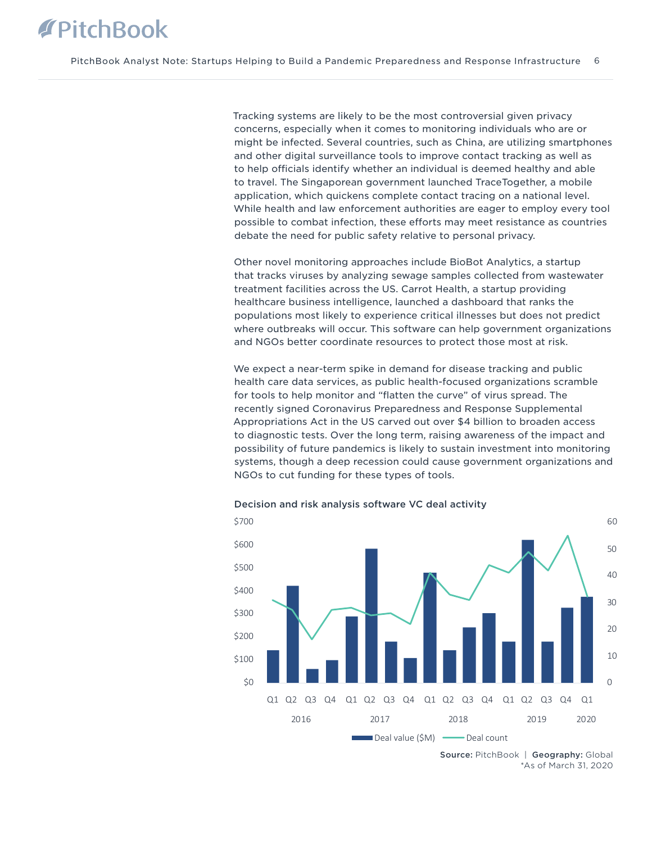Tracking systems are likely to be the most controversial given privacy concerns, especially when it comes to monitoring individuals who are or might be infected. Several countries, such as China, are utilizing smartphones and other digital surveillance tools to improve contact tracking as well as to help officials identify whether an individual is deemed healthy and able to travel. The Singaporean government launched TraceTogether, a mobile application, which quickens complete contact tracing on a national level. While health and law enforcement authorities are eager to employ every tool possible to combat infection, these efforts may meet resistance as countries debate the need for public safety relative to personal privacy.

Other novel monitoring approaches include BioBot Analytics, a startup that tracks viruses by analyzing sewage samples collected from wastewater treatment facilities across the US. Carrot Health, a startup providing healthcare business intelligence, launched a dashboard that ranks the populations most likely to experience critical illnesses but does not predict where outbreaks will occur. This software can help government organizations and NGOs better coordinate resources to protect those most at risk.

We expect a near-term spike in demand for disease tracking and public health care data services, as public health-focused organizations scramble for tools to help monitor and "flatten the curve" of virus spread. The recently signed Coronavirus Preparedness and Response Supplemental Appropriations Act in the US carved out over \$4 billion to broaden access to diagnostic tests. Over the long term, raising awareness of the impact and possibility of future pandemics is likely to sustain investment into monitoring systems, though a deep recession could cause government organizations and NGOs to cut funding for these types of tools.



Decision and risk analysis software VC deal activity

<sup>\*</sup>As of March 31, 2020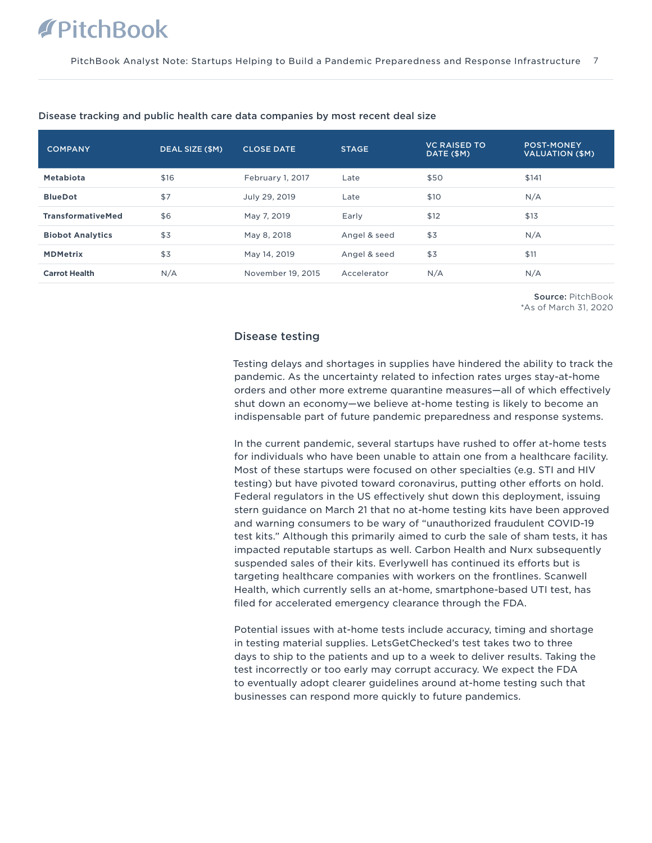| <b>COMPANY</b>           | DEAL SIZE (\$M) | <b>CLOSE DATE</b> | <b>STAGE</b> | <b>VC RAISED TO</b><br>DATE (\$M) | <b>POST-MONEY</b><br><b>VALUATION (\$M)</b> |
|--------------------------|-----------------|-------------------|--------------|-----------------------------------|---------------------------------------------|
| Metabiota                | \$16            | February 1, 2017  | Late         | \$50                              | \$141                                       |
| <b>BlueDot</b>           | \$7             | July 29, 2019     | Late         | \$10                              | N/A                                         |
| <b>TransformativeMed</b> | \$6             | May 7, 2019       | Early        | \$12                              | \$13                                        |
| <b>Biobot Analytics</b>  | \$3             | May 8, 2018       | Angel & seed | \$3                               | N/A                                         |
| <b>MDMetrix</b>          | \$3             | May 14, 2019      | Angel & seed | \$3                               | \$11                                        |
| <b>Carrot Health</b>     | N/A             | November 19, 2015 | Accelerator  | N/A                               | N/A                                         |

#### Disease tracking and public health care data companies by most recent deal size

Source: PitchBook \*As of March 31, 2020

### Disease testing

Testing delays and shortages in supplies have hindered the ability to track the pandemic. As the uncertainty related to infection rates urges stay-at-home orders and other more extreme quarantine measures—all of which effectively shut down an economy—we believe at-home testing is likely to become an indispensable part of future pandemic preparedness and response systems.

In the current pandemic, several startups have rushed to offer at-home tests for individuals who have been unable to attain one from a healthcare facility. Most of these startups were focused on other specialties (e.g. STI and HIV testing) but have pivoted toward coronavirus, putting other efforts on hold. Federal regulators in the US effectively shut down this deployment, issuing stern guidance on March 21 that no at-home testing kits have been approved and warning consumers to be wary of "unauthorized fraudulent COVID-19 test kits." Although this primarily aimed to curb the sale of sham tests, it has impacted reputable startups as well. Carbon Health and Nurx subsequently suspended sales of their kits. Everlywell has continued its efforts but is targeting healthcare companies with workers on the frontlines. Scanwell Health, which currently sells an at-home, smartphone-based UTI test, has filed for accelerated emergency clearance through the FDA.

Potential issues with at-home tests include accuracy, timing and shortage in testing material supplies. LetsGetChecked's test takes two to three days to ship to the patients and up to a week to deliver results. Taking the test incorrectly or too early may corrupt accuracy. We expect the FDA to eventually adopt clearer guidelines around at-home testing such that businesses can respond more quickly to future pandemics.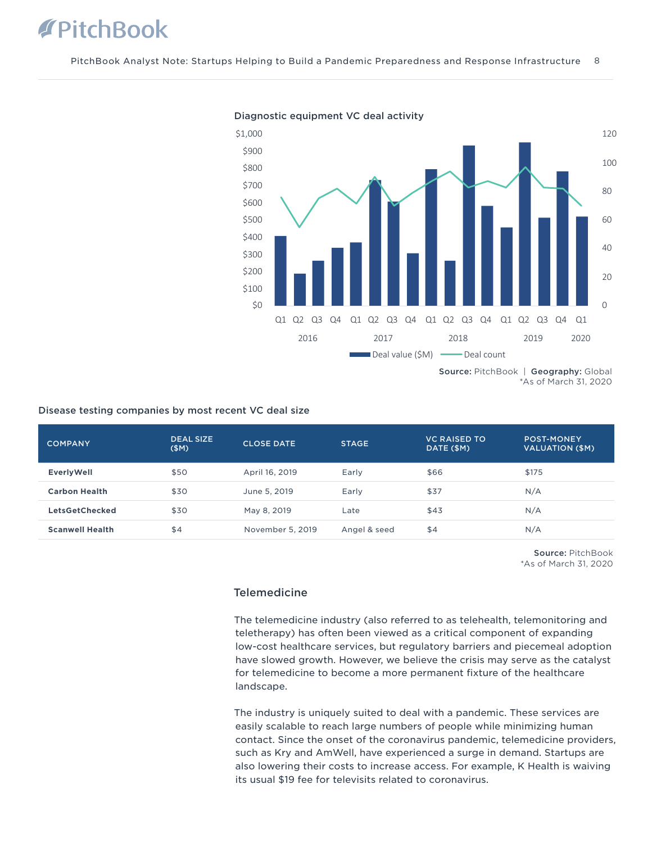

Diagnostic equipment VC deal activity

### Disease testing companies by most recent VC deal size

| <b>COMPANY</b>         | <b>DEAL SIZE</b><br>(SM) | <b>CLOSE DATE</b> | <b>STAGE</b> | <b>VC RAISED TO</b><br>DATE (\$M) | <b>POST-MONEY</b><br>VALUATION (\$M) |
|------------------------|--------------------------|-------------------|--------------|-----------------------------------|--------------------------------------|
| <b>EverlyWell</b>      | \$50                     | April 16, 2019    | Early        | \$66                              | \$175                                |
| <b>Carbon Health</b>   | \$30                     | June 5, 2019      | Early        | \$37                              | N/A                                  |
| <b>LetsGetChecked</b>  | \$30                     | May 8, 2019       | Late         | \$43                              | N/A                                  |
| <b>Scanwell Health</b> | \$4                      | November 5, 2019  | Angel & seed | \$4                               | N/A                                  |

Source: PitchBook \*As of March 31, 2020

### **Telemedicine**

The telemedicine industry (also referred to as telehealth, telemonitoring and teletherapy) has often been viewed as a critical component of expanding low-cost healthcare services, but regulatory barriers and piecemeal adoption have slowed growth. However, we believe the crisis may serve as the catalyst for telemedicine to become a more permanent fixture of the healthcare landscape.

The industry is uniquely suited to deal with a pandemic. These services are easily scalable to reach large numbers of people while minimizing human contact. Since the onset of the coronavirus pandemic, telemedicine providers, such as Kry and AmWell, have experienced a surge in demand. Startups are also lowering their costs to increase access. For example, K Health is waiving its usual \$19 fee for televisits related to coronavirus.

<sup>\*</sup>As of March 31, 2020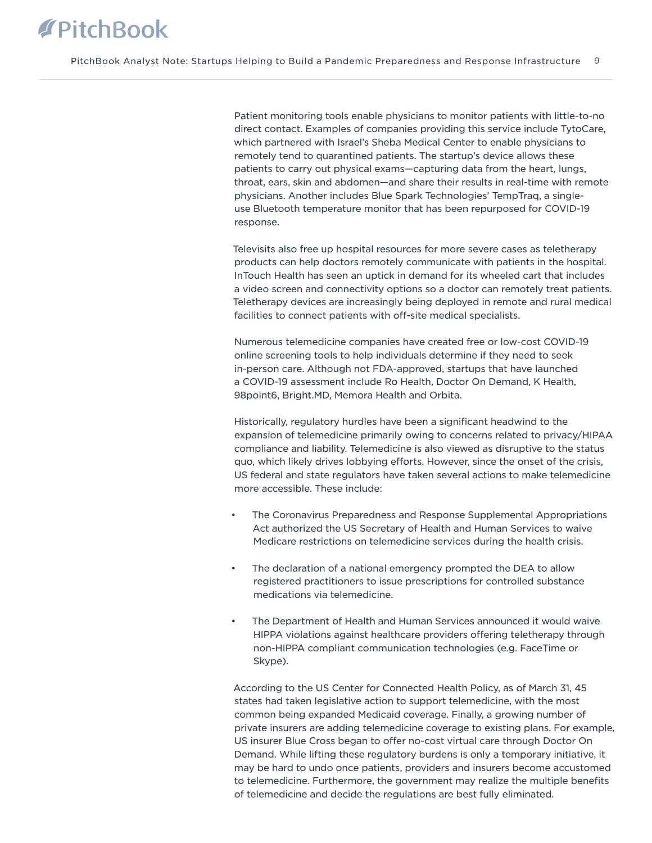Patient monitoring tools enable physicians to monitor patients with little-to-no direct contact. Examples of companies providing this service include TytoCare, which partnered with Israel's Sheba Medical Center to enable physicians to remotely tend to quarantined patients. The startup's device allows these patients to carry out physical exams—capturing data from the heart, lungs, throat, ears, skin and abdomen—and share their results in real-time with remote physicians. Another includes Blue Spark Technologies' TempTraq, a singleuse Bluetooth temperature monitor that has been repurposed for COVID-19 response.

Televisits also free up hospital resources for more severe cases as teletherapy products can help doctors remotely communicate with patients in the hospital. InTouch Health has seen an uptick in demand for its wheeled cart that includes a video screen and connectivity options so a doctor can remotely treat patients. Teletherapy devices are increasingly being deployed in remote and rural medical facilities to connect patients with off-site medical specialists.

Numerous telemedicine companies have created free or low-cost COVID-19 online screening tools to help individuals determine if they need to seek in-person care. Although not FDA-approved, startups that have launched a COVID-19 assessment include Ro Health, Doctor On Demand, K Health, 98point6, Bright.MD, Memora Health and Orbita.

Historically, regulatory hurdles have been a significant headwind to the expansion of telemedicine primarily owing to concerns related to privacy/HIPAA compliance and liability. Telemedicine is also viewed as disruptive to the status quo, which likely drives lobbying efforts. However, since the onset of the crisis, US federal and state regulators have taken several actions to make telemedicine more accessible. These include:

- The Coronavirus Preparedness and Response Supplemental Appropriations Act authorized the US Secretary of Health and Human Services to waive Medicare restrictions on telemedicine services during the health crisis.
- The declaration of a national emergency prompted the DEA to allow registered practitioners to issue prescriptions for controlled substance medications via telemedicine.
- The Department of Health and Human Services announced it would waive HIPPA violations against healthcare providers offering teletherapy through non-HIPPA compliant communication technologies (e.g. FaceTime or Skype).

According to the US Center for Connected Health Policy, as of March 31, 45 states had taken legislative action to support telemedicine, with the most common being expanded Medicaid coverage. Finally, a growing number of private insurers are adding telemedicine coverage to existing plans. For example, US insurer Blue Cross began to offer no-cost virtual care through Doctor On Demand. While lifting these regulatory burdens is only a temporary initiative, it may be hard to undo once patients, providers and insurers become accustomed to telemedicine. Furthermore, the government may realize the multiple benefits of telemedicine and decide the regulations are best fully eliminated.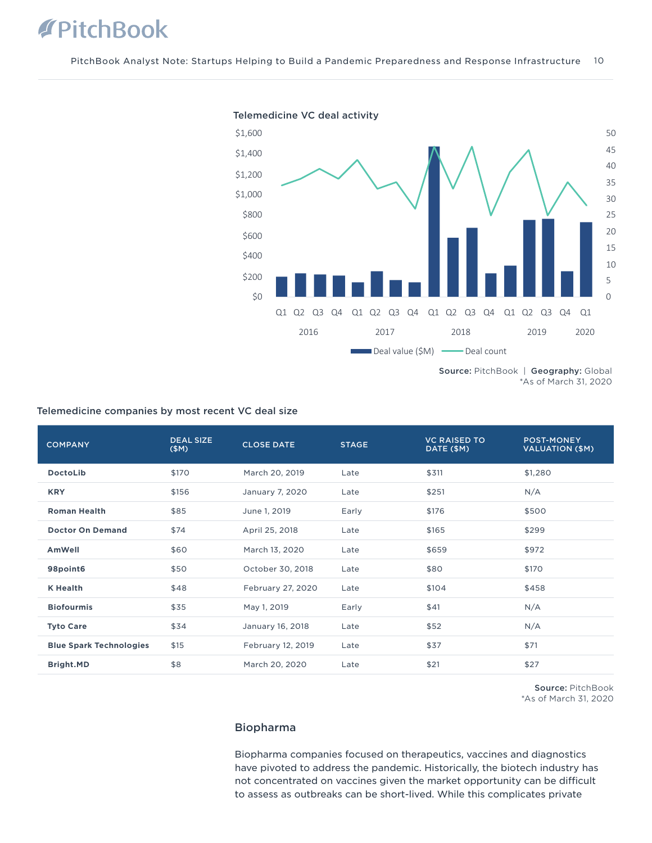

Telemedicine VC deal activity

Source: PitchBook | Geography: Global \*As of March 31, 2020

| <b>COMPANY</b>                 | <b>DEAL SIZE</b><br>(SM) | <b>CLOSE DATE</b> | <b>STAGE</b> | <b>VC RAISED TO</b><br>DATE (\$M) | <b>POST-MONEY</b><br><b>VALUATION (\$M)</b> |
|--------------------------------|--------------------------|-------------------|--------------|-----------------------------------|---------------------------------------------|
| <b>DoctoLib</b>                | \$170                    | March 20, 2019    | Late         | \$311                             | \$1,280                                     |
| <b>KRY</b>                     | \$156                    | January 7, 2020   | Late         | \$251                             | N/A                                         |
| <b>Roman Health</b>            | \$85                     | June 1, 2019      | Early        | \$176                             | \$500                                       |
| <b>Doctor On Demand</b>        | \$74                     | April 25, 2018    | Late         | \$165                             | \$299                                       |
| AmWell                         | \$60                     | March 13, 2020    | Late         | \$659                             | \$972                                       |
| 98point6                       | \$50                     | October 30, 2018  | Late         | \$80                              | \$170                                       |
| <b>K</b> Health                | \$48                     | February 27, 2020 | Late         | \$104                             | \$458                                       |
| <b>Biofourmis</b>              | \$35                     | May 1, 2019       | Early        | \$41                              | N/A                                         |
| <b>Tyto Care</b>               | \$34                     | January 16, 2018  | Late         | \$52                              | N/A                                         |
| <b>Blue Spark Technologies</b> | \$15                     | February 12, 2019 | Late         | \$37                              | \$71                                        |
| Bright.MD                      | \$8                      | March 20, 2020    | Late         | \$21                              | \$27                                        |

## Telemedicine companies by most recent VC deal size

Source: PitchBook \*As of March 31, 2020

#### Biopharma

Biopharma companies focused on therapeutics, vaccines and diagnostics have pivoted to address the pandemic. Historically, the biotech industry has not concentrated on vaccines given the market opportunity can be difficult to assess as outbreaks can be short-lived. While this complicates private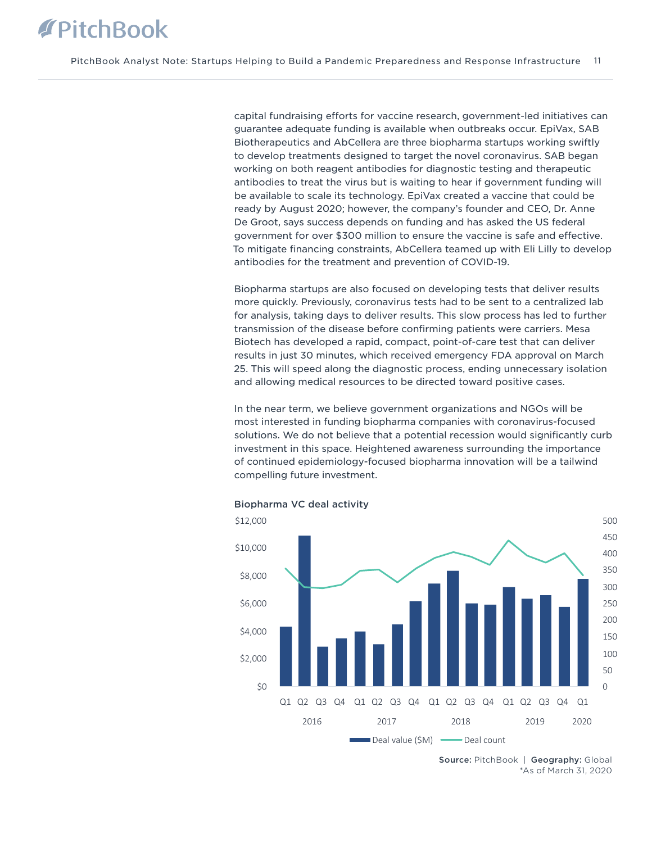capital fundraising efforts for vaccine research, government-led initiatives can guarantee adequate funding is available when outbreaks occur. EpiVax, SAB Biotherapeutics and AbCellera are three biopharma startups working swiftly to develop treatments designed to target the novel coronavirus. SAB began working on both reagent antibodies for diagnostic testing and therapeutic antibodies to treat the virus but is waiting to hear if government funding will be available to scale its technology. EpiVax created a vaccine that could be ready by August 2020; however, the company's founder and CEO, Dr. Anne De Groot, says success depends on funding and has asked the US federal government for over \$300 million to ensure the vaccine is safe and effective. To mitigate financing constraints, AbCellera teamed up with Eli Lilly to develop antibodies for the treatment and prevention of COVID-19.

Biopharma startups are also focused on developing tests that deliver results more quickly. Previously, coronavirus tests had to be sent to a centralized lab for analysis, taking days to deliver results. This slow process has led to further transmission of the disease before confirming patients were carriers. Mesa Biotech has developed a rapid, compact, point-of-care test that can deliver results in just 30 minutes, which received emergency FDA approval on March 25. This will speed along the diagnostic process, ending unnecessary isolation and allowing medical resources to be directed toward positive cases.

In the near term, we believe government organizations and NGOs will be most interested in funding biopharma companies with coronavirus-focused solutions. We do not believe that a potential recession would significantly curb investment in this space. Heightened awareness surrounding the importance of continued epidemiology-focused biopharma innovation will be a tailwind compelling future investment.



Biopharma VC deal activity

Source: PitchBook | Geography: Global \*As of March 31, 2020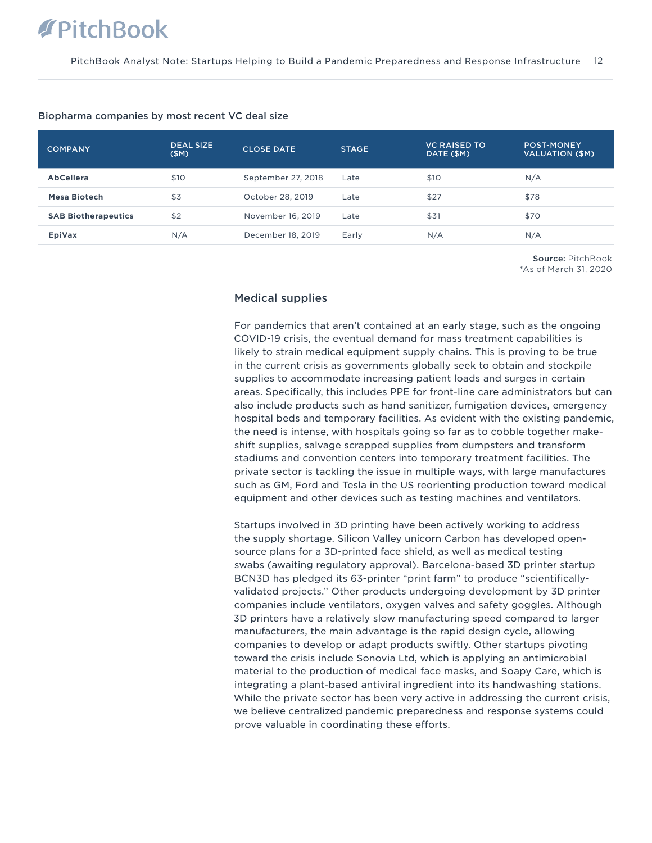| <b>COMPANY</b>             | <b>DEAL SIZE</b><br>(SM) | <b>CLOSE DATE</b>  | <b>STAGE</b> | <b>VC RAISED TO</b><br>DATE (\$M) | <b>POST-MONEY</b><br>VALUATION (\$M) |
|----------------------------|--------------------------|--------------------|--------------|-----------------------------------|--------------------------------------|
| <b>AbCellera</b>           | \$10                     | September 27, 2018 | Late         | \$10                              | N/A                                  |
| <b>Mesa Biotech</b>        | \$3                      | October 28, 2019   | Late         | \$27                              | \$78                                 |
| <b>SAB Biotherapeutics</b> | \$2                      | November 16, 2019  | Late         | \$31                              | \$70                                 |
| EpiVax                     | N/A                      | December 18, 2019  | Early        | N/A                               | N/A                                  |

#### Biopharma companies by most recent VC deal size

Source: PitchBook \*As of March 31, 2020

### Medical supplies

For pandemics that aren't contained at an early stage, such as the ongoing COVID-19 crisis, the eventual demand for mass treatment capabilities is likely to strain medical equipment supply chains. This is proving to be true in the current crisis as governments globally seek to obtain and stockpile supplies to accommodate increasing patient loads and surges in certain areas. Specifically, this includes PPE for front-line care administrators but can also include products such as hand sanitizer, fumigation devices, emergency hospital beds and temporary facilities. As evident with the existing pandemic, the need is intense, with hospitals going so far as to cobble together makeshift supplies, salvage scrapped supplies from dumpsters and transform stadiums and convention centers into temporary treatment facilities. The private sector is tackling the issue in multiple ways, with large manufactures such as GM, Ford and Tesla in the US reorienting production toward medical equipment and other devices such as testing machines and ventilators.

Startups involved in 3D printing have been actively working to address the supply shortage. Silicon Valley unicorn Carbon has developed opensource plans for a 3D-printed face shield, as well as medical testing swabs (awaiting regulatory approval). Barcelona-based 3D printer startup BCN3D has pledged its 63-printer "print farm" to produce "scientificallyvalidated projects." Other products undergoing development by 3D printer companies include ventilators, oxygen valves and safety goggles. Although 3D printers have a relatively slow manufacturing speed compared to larger manufacturers, the main advantage is the rapid design cycle, allowing companies to develop or adapt products swiftly. Other startups pivoting toward the crisis include Sonovia Ltd, which is applying an antimicrobial material to the production of medical face masks, and Soapy Care, which is integrating a plant-based antiviral ingredient into its handwashing stations. While the private sector has been very active in addressing the current crisis, we believe centralized pandemic preparedness and response systems could prove valuable in coordinating these efforts.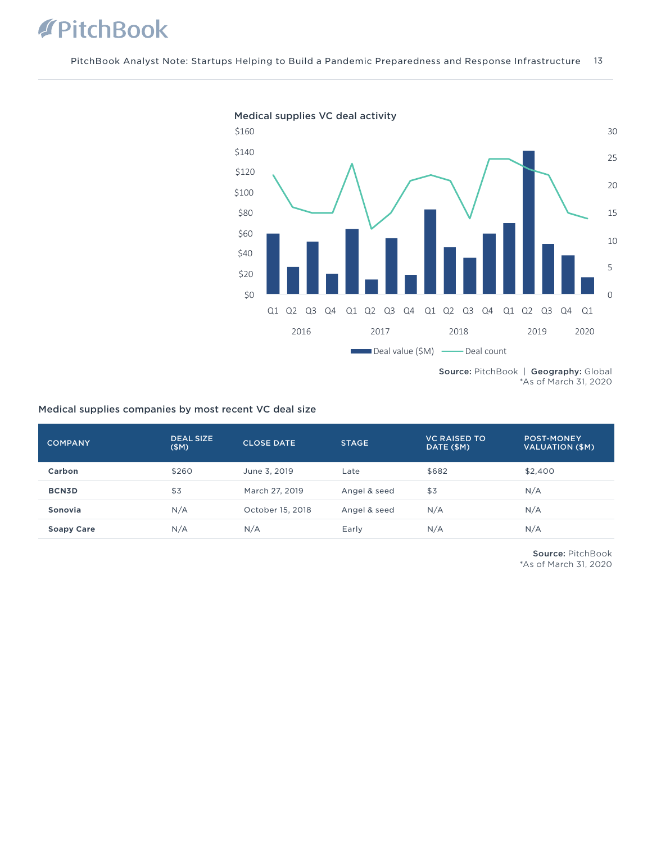

\*As of March 31, 2020

### Medical supplies companies by most recent VC deal size

| <b>COMPANY</b>    | <b>DEAL SIZE</b><br>(SM) | <b>CLOSE DATE</b> | <b>STAGE</b> | <b>VC RAISED TO</b><br>DATE (\$M) | <b>POST-MONEY</b><br><b>VALUATION (\$M)</b> |
|-------------------|--------------------------|-------------------|--------------|-----------------------------------|---------------------------------------------|
| Carbon            | \$260                    | June 3, 2019      | Late         | \$682                             | \$2,400                                     |
| <b>BCN3D</b>      | \$3                      | March 27, 2019    | Angel & seed | \$3                               | N/A                                         |
| Sonovia           | N/A                      | October 15, 2018  | Angel & seed | N/A                               | N/A                                         |
| <b>Soapy Care</b> | N/A                      | N/A               | Early        | N/A                               | N/A                                         |

Source: PitchBook \*As of March 31, 2020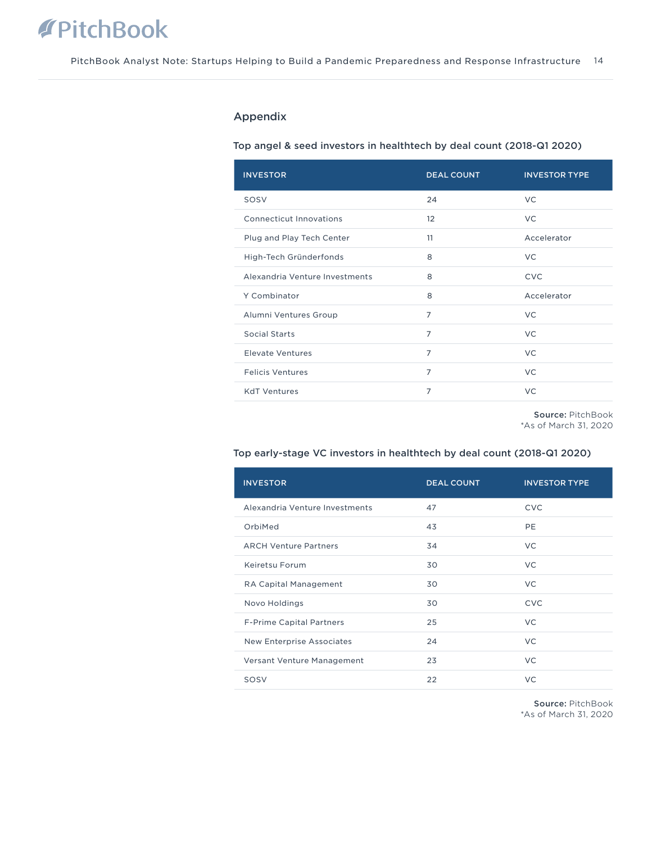### Appendix

### Top angel & seed investors in healthtech by deal count (2018-Q1 2020)

| <b>INVESTOR</b>                | <b>DEAL COUNT</b> | <b>INVESTOR TYPE</b> |
|--------------------------------|-------------------|----------------------|
| SOSV                           | 24                | <b>VC</b>            |
| Connecticut Innovations        | 12                | <b>VC</b>            |
| Plug and Play Tech Center      | 11                | Accelerator          |
| High-Tech Gründerfonds         | 8                 | <b>VC</b>            |
| Alexandria Venture Investments | 8                 | <b>CVC</b>           |
| Y Combinator                   | 8                 | Accelerator          |
| Alumni Ventures Group          | $\overline{7}$    | <b>VC</b>            |
| Social Starts                  | $\overline{7}$    | VC.                  |
| <b>Elevate Ventures</b>        | $\overline{7}$    | <b>VC</b>            |
| <b>Felicis Ventures</b>        | $\overline{7}$    | <b>VC</b>            |
| <b>KdT Ventures</b>            | $\overline{7}$    | <b>VC</b>            |

Source: PitchBook

\*As of March 31, 2020

### Top early-stage VC investors in healthtech by deal count (2018-Q1 2020)

| <b>INVESTOR</b>                  | <b>DEAL COUNT</b> | <b>INVESTOR TYPE</b> |
|----------------------------------|-------------------|----------------------|
| Alexandria Venture Investments   | 47                | <b>CVC</b>           |
| OrbiMed                          | 43                | PE                   |
| <b>ARCH Venture Partners</b>     | 34                | <b>VC</b>            |
| Keiretsu Forum                   | 30                | VC.                  |
| <b>RA Capital Management</b>     | 30                | <b>VC</b>            |
| Novo Holdings                    | 30                | <b>CVC</b>           |
| F-Prime Capital Partners         | 25                | VC.                  |
| <b>New Enterprise Associates</b> | 24                | VC                   |
| Versant Venture Management       | 23                | VC                   |
| SOSV                             | 22                | VC                   |

Source: PitchBook \*As of March 31, 2020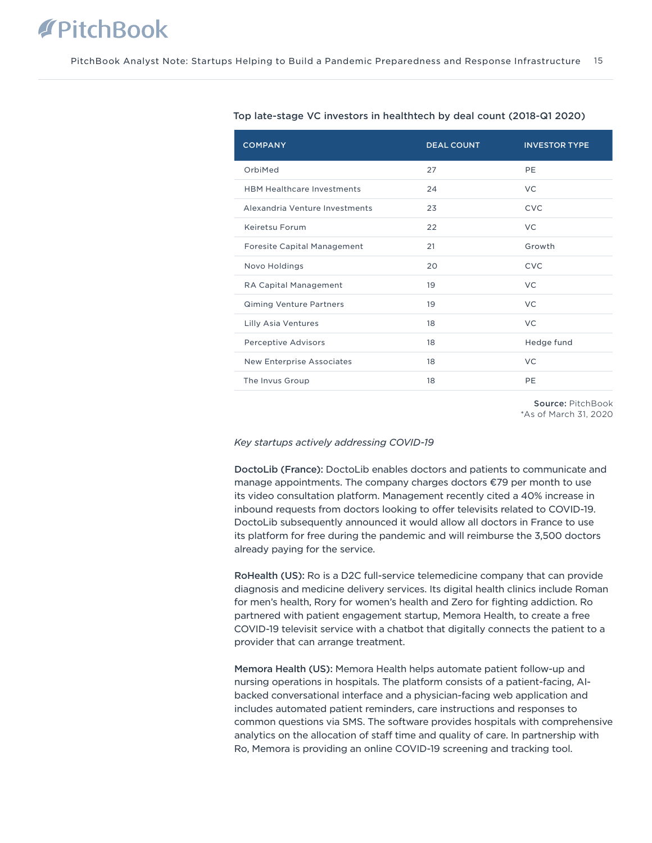| <b>COMPANY</b>                     | <b>DEAL COUNT</b> | <b>INVESTOR TYPE</b> |
|------------------------------------|-------------------|----------------------|
| OrbiMed                            | 27                | PE                   |
| <b>HBM Healthcare Investments</b>  | 24                | VC.                  |
| Alexandria Venture Investments     | 23                | CVC                  |
| Keiretsu Forum                     | 22                | <b>VC</b>            |
| <b>Foresite Capital Management</b> | 21                | Growth               |
| Novo Holdings                      | 20                | <b>CVC</b>           |
| RA Capital Management              | 19                | <b>VC</b>            |
| <b>Qiming Venture Partners</b>     | 19                | <b>VC</b>            |
| Lilly Asia Ventures                | 18                | <b>VC</b>            |
| <b>Perceptive Advisors</b>         | 18                | Hedge fund           |
| <b>New Enterprise Associates</b>   | 18                | <b>VC</b>            |
| The Invus Group                    | 18                | PE                   |
|                                    |                   |                      |

#### Top late-stage VC investors in healthtech by deal count (2018-Q1 2020)

Source: PitchBook \*As of March 31, 2020

#### *Key startups actively addressing COVID-19*

DoctoLib (France): DoctoLib enables doctors and patients to communicate and manage appointments. The company charges doctors €79 per month to use its video consultation platform. Management recently cited a 40% increase in inbound requests from doctors looking to offer televisits related to COVID-19. DoctoLib subsequently announced it would allow all doctors in France to use its platform for free during the pandemic and will reimburse the 3,500 doctors already paying for the service.

RoHealth (US): Ro is a D2C full-service telemedicine company that can provide diagnosis and medicine delivery services. Its digital health clinics include Roman for men's health, Rory for women's health and Zero for fighting addiction. Ro partnered with patient engagement startup, Memora Health, to create a free COVID-19 televisit service with a chatbot that digitally connects the patient to a provider that can arrange treatment.

Memora Health (US): Memora Health helps automate patient follow-up and nursing operations in hospitals. The platform consists of a patient-facing, AIbacked conversational interface and a physician-facing web application and includes automated patient reminders, care instructions and responses to common questions via SMS. The software provides hospitals with comprehensive analytics on the allocation of staff time and quality of care. In partnership with Ro, Memora is providing an online COVID-19 screening and tracking tool.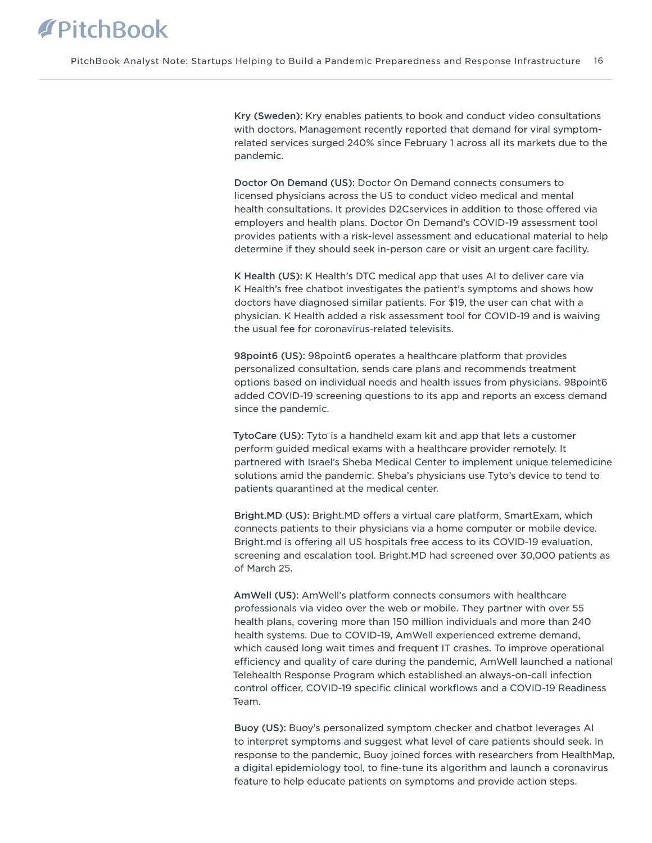Kry (Sweden): Kry enables patients to book and conduct video consultations with doctors. Management recently reported that demand for viral symptomrelated services surged 240% since February 1 across all its markets due to the pandemic.

Doctor On Demand (US): Doctor On Demand connects consumers to licensed physicians across the US to conduct video medical and mental health consultations. It provides D2Cservices in addition to those offered via employers and health plans. Doctor On Demand's COVID-19 assessment tool provides patients with a risk-level assessment and educational material to help determine if they should seek in-person care or visit an urgent care facility.

K Health (US): K Health's DTC medical app that uses AI to deliver care via K Health's free chatbot investigates the patient's symptoms and shows how doctors have diagnosed similar patients. For \$19, the user can chat with a physician. K Health added a risk assessment tool for COVID-19 and is waiving the usual fee for coronavirus-related televisits.

98point6 (US): 98point6 operates a healthcare platform that provides personalized consultation, sends care plans and recommends treatment options based on individual needs and health issues from physicians. 98point6 added COVID-19 screening questions to its app and reports an excess demand since the pandemic.

TytoCare (US): Tyto is a handheld exam kit and app that lets a customer perform guided medical exams with a healthcare provider remotely. It partnered with Israel's Sheba Medical Center to implement unique telemedicine solutions amid the pandemic. Sheba's physicians use Tyto's device to tend to patients quarantined at the medical center.

Bright.MD (US): Bright.MD offers a virtual care platform, SmartExam, which connects patients to their physicians via a home computer or mobile device. Bright.md is offering all US hospitals free access to its COVID-19 evaluation, screening and escalation tool. Bright.MD had screened over 30,000 patients as of March 25.

AmWell (US): AmWell's platform connects consumers with healthcare professionals via video over the web or mobile. They partner with over 55 health plans, covering more than 150 million individuals and more than 240 health systems. Due to COVID-19, AmWell experienced extreme demand, which caused long wait times and frequent IT crashes. To improve operational efficiency and quality of care during the pandemic, AmWell launched a national Telehealth Response Program which established an always-on-call infection control officer, COVID-19 specific clinical workflows and a COVID-19 Readiness Team.

Buoy (US): Buoy's personalized symptom checker and chatbot leverages AI to interpret symptoms and suggest what level of care patients should seek. In response to the pandemic, Buoy joined forces with researchers from HealthMap, a digital epidemiology tool, to fine-tune its algorithm and launch a coronavirus feature to help educate patients on symptoms and provide action steps.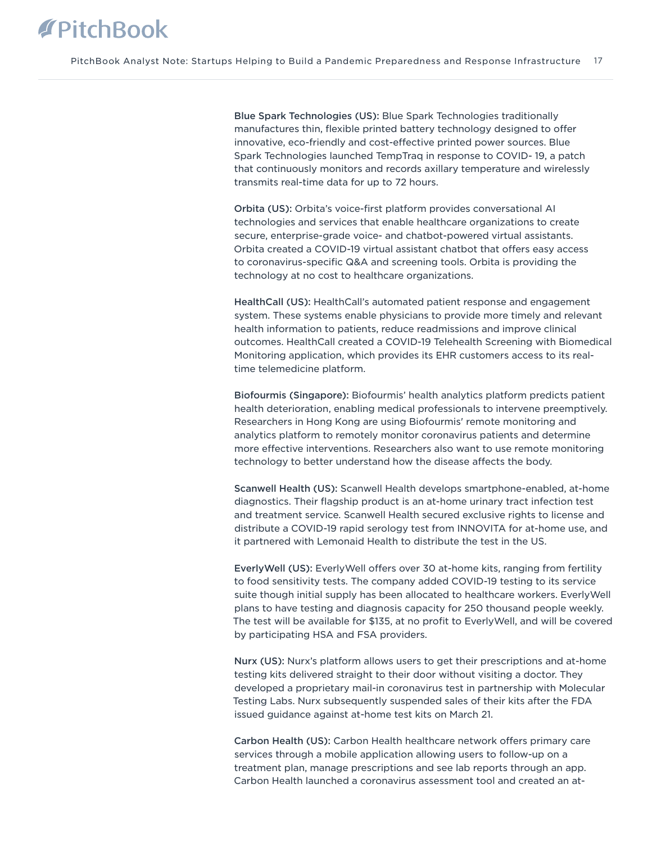Blue Spark Technologies (US): Blue Spark Technologies traditionally manufactures thin, flexible printed battery technology designed to offer innovative, eco-friendly and cost-effective printed power sources. Blue Spark Technologies launched TempTraq in response to COVID- 19, a patch that continuously monitors and records axillary temperature and wirelessly transmits real-time data for up to 72 hours.

Orbita (US): Orbita's voice-first platform provides conversational AI technologies and services that enable healthcare organizations to create secure, enterprise-grade voice- and chatbot-powered virtual assistants. Orbita created a COVID-19 virtual assistant chatbot that offers easy access to coronavirus-specific Q&A and screening tools. Orbita is providing the technology at no cost to healthcare organizations.

HealthCall (US): HealthCall's automated patient response and engagement system. These systems enable physicians to provide more timely and relevant health information to patients, reduce readmissions and improve clinical outcomes. HealthCall created a COVID-19 Telehealth Screening with Biomedical Monitoring application, which provides its EHR customers access to its realtime telemedicine platform.

Biofourmis (Singapore): Biofourmis' health analytics platform predicts patient health deterioration, enabling medical professionals to intervene preemptively. Researchers in Hong Kong are using Biofourmis' remote monitoring and analytics platform to remotely monitor coronavirus patients and determine more effective interventions. Researchers also want to use remote monitoring technology to better understand how the disease affects the body.

Scanwell Health (US): Scanwell Health develops smartphone-enabled, at-home diagnostics. Their flagship product is an at-home urinary tract infection test and treatment service. Scanwell Health secured exclusive rights to license and distribute a COVID-19 rapid serology test from INNOVITA for at-home use, and it partnered with Lemonaid Health to distribute the test in the US.

EverlyWell (US): EverlyWell offers over 30 at-home kits, ranging from fertility to food sensitivity tests. The company added COVID-19 testing to its service suite though initial supply has been allocated to healthcare workers. EverlyWell plans to have testing and diagnosis capacity for 250 thousand people weekly. The test will be available for \$135, at no profit to EverlyWell, and will be covered by participating HSA and FSA providers.

Nurx (US): Nurx's platform allows users to get their prescriptions and at-home testing kits delivered straight to their door without visiting a doctor. They developed a proprietary mail-in coronavirus test in partnership with Molecular Testing Labs. Nurx subsequently suspended sales of their kits after the FDA issued guidance against at-home test kits on March 21.

Carbon Health (US): Carbon Health healthcare network offers primary care services through a mobile application allowing users to follow-up on a treatment plan, manage prescriptions and see lab reports through an app. Carbon Health launched a coronavirus assessment tool and created an at